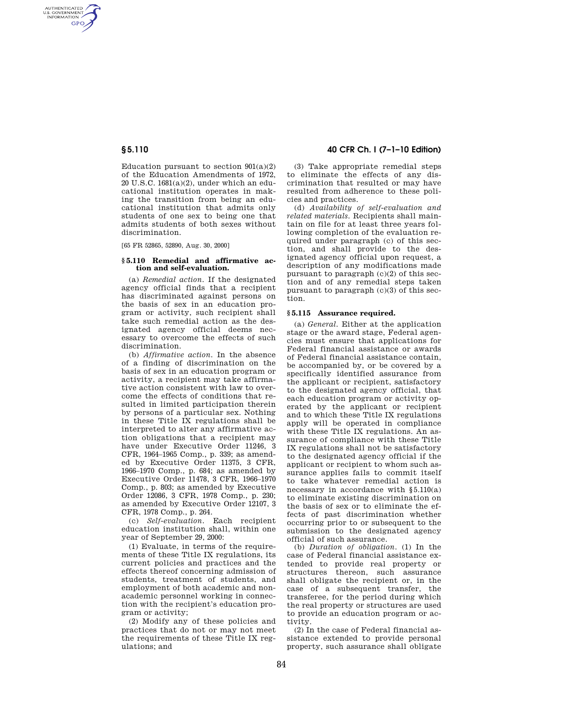AUTHENTICATED<br>U.S. GOVERNMENT<br>INFORMATION **GPO** 

> Education pursuant to section  $901(a)(2)$ of the Education Amendments of 1972, 20 U.S.C. 1681(a)(2), under which an educational institution operates in making the transition from being an educational institution that admits only students of one sex to being one that admits students of both sexes without discrimination.

[65 FR 52865, 52890, Aug. 30, 2000]

## **§ 5.110 Remedial and affirmative action and self-evaluation.**

(a) *Remedial action.* If the designated agency official finds that a recipient has discriminated against persons on the basis of sex in an education program or activity, such recipient shall take such remedial action as the designated agency official deems necessary to overcome the effects of such discrimination.

(b) *Affirmative action.* In the absence of a finding of discrimination on the basis of sex in an education program or activity, a recipient may take affirmative action consistent with law to overcome the effects of conditions that resulted in limited participation therein by persons of a particular sex. Nothing in these Title IX regulations shall be interpreted to alter any affirmative action obligations that a recipient may have under Executive Order 11246, 3 CFR, 1964–1965 Comp., p. 339; as amended by Executive Order 11375, 3 CFR, 1966–1970 Comp., p. 684; as amended by Executive Order 11478, 3 CFR, 1966–1970 Comp., p. 803; as amended by Executive Order 12086, 3 CFR, 1978 Comp., p. 230; as amended by Executive Order 12107, 3 CFR, 1978 Comp., p. 264.

(c) *Self-evaluation.* Each recipient education institution shall, within one year of September 29, 2000:

(1) Evaluate, in terms of the requirements of these Title IX regulations, its current policies and practices and the effects thereof concerning admission of students, treatment of students, and employment of both academic and nonacademic personnel working in connection with the recipient's education program or activity;

(2) Modify any of these policies and practices that do not or may not meet the requirements of these Title IX regulations; and

# **§ 5.110 40 CFR Ch. I (7–1–10 Edition)**

(3) Take appropriate remedial steps to eliminate the effects of any discrimination that resulted or may have resulted from adherence to these policies and practices.

(d) *Availability of self-evaluation and related materials.* Recipients shall maintain on file for at least three years following completion of the evaluation required under paragraph (c) of this section, and shall provide to the designated agency official upon request, a description of any modifications made pursuant to paragraph (c)(2) of this section and of any remedial steps taken pursuant to paragraph  $(c)(3)$  of this section.

#### **§ 5.115 Assurance required.**

(a) *General.* Either at the application stage or the award stage, Federal agencies must ensure that applications for Federal financial assistance or awards of Federal financial assistance contain, be accompanied by, or be covered by a specifically identified assurance from the applicant or recipient, satisfactory to the designated agency official, that each education program or activity operated by the applicant or recipient and to which these Title IX regulations apply will be operated in compliance with these Title IX regulations. An assurance of compliance with these Title IX regulations shall not be satisfactory to the designated agency official if the applicant or recipient to whom such assurance applies fails to commit itself to take whatever remedial action is necessary in accordance with §5.110(a) to eliminate existing discrimination on the basis of sex or to eliminate the effects of past discrimination whether occurring prior to or subsequent to the submission to the designated agency official of such assurance.

(b) *Duration of obligation.* (1) In the case of Federal financial assistance extended to provide real property or structures thereon, such assurance shall obligate the recipient or, in the case of a subsequent transfer, the transferee, for the period during which the real property or structures are used to provide an education program or activity.

(2) In the case of Federal financial assistance extended to provide personal property, such assurance shall obligate